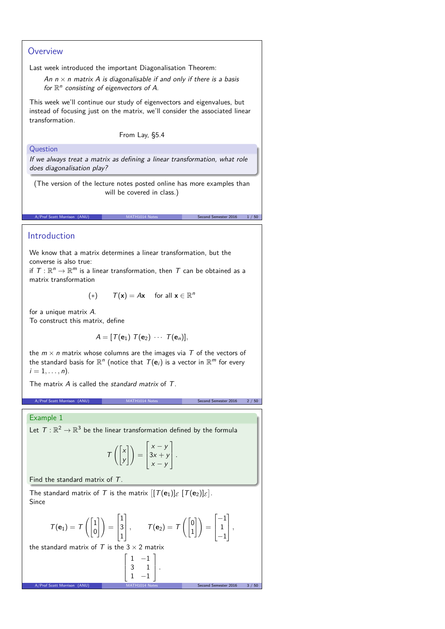## **Overview**

Last week introduced the important Diagonalisation Theorem:

An  $n \times n$  matrix A is diagonalisable if and only if there is a basis for  $\mathbb{R}^n$  consisting of eigenvectors of A.

This week we'll continue our study of eigenvectors and eigenvalues, but instead of focusing just on the matrix, we'll consider the associated linear transformation.

From Lay, §5.4

#### Question

If we always treat a matrix as defining a linear transformation, what role does diagonalisation play?

(The version of the lecture notes posted online has more examples than will be covered in class.)

A/Prof Scott Morrison (ANU) MATH1014 Notes Second Semester 2016 1/50

## Introduction

We know that a matrix determines a linear transformation, but the converse is also true:

if  $\mathcal{T}:\mathbb{R}^n\rightarrow\mathbb{R}^m$  is a linear transformation, then  $\mathcal T$  can be obtained as a matrix transformation

$$
(*) \qquad \mathcal{T}(\mathbf{x}) = A\mathbf{x} \quad \text{ for all } \mathbf{x} \in \mathbb{R}^n
$$

for a unique matrix A. To construct this matrix, define

$$
A=[T(\mathbf{e}_1) T(\mathbf{e}_2) \cdots T(\mathbf{e}_n)],
$$

the  $m \times n$  matrix whose columns are the images via T of the vectors of the standard basis for  $\mathbb{R}^n$  (notice that  $\mathcal{T}(\mathbf{e}_i)$  is a vector in  $\mathbb{R}^m$  for every  $i = 1, \ldots, n$ .

The matrix  $\vec{A}$  is called the standard matrix of  $\vec{T}$ .

A/Prof Scott Morrison (ANU) MATH1014 Notes Second Semester 2016 2 / 50

## Example 1

Let  $\mathcal{T}:\mathbb{R}^2\to\mathbb{R}^3$  be the linear transformation defined by the formula

$$
T\left(\begin{bmatrix} x \\ y \end{bmatrix}\right) = \begin{bmatrix} x - y \\ 3x + y \\ x - y \end{bmatrix}.
$$

Find the standard matrix of T.

The standard matrix of T is the matrix  $[[T(\mathbf{e}_1)]_{\mathcal{E}} [T(\mathbf{e}_2)]_{\mathcal{E}}]$ . Since

$$
\mathcal{T}(\mathbf{e}_1) = \mathcal{T}\left(\begin{bmatrix}1\\0\end{bmatrix}\right) = \begin{bmatrix}1\\3\\1\end{bmatrix}, \qquad \mathcal{T}(\mathbf{e}_2) = \mathcal{T}\left(\begin{bmatrix}0\\1\end{bmatrix}\right) = \begin{bmatrix}-1\\1\\-1\end{bmatrix},
$$

the standard matrix of T is the  $3 \times 2$  matrix

$$
\begin{bmatrix} 1 & -1 \ 3 & 1 \ 1 & -1 \end{bmatrix}
$$
  
1  
1  
1  
1  
2  
1  
2  
2  
2  
2  
2  
2  
3  
3  
50  
3  
50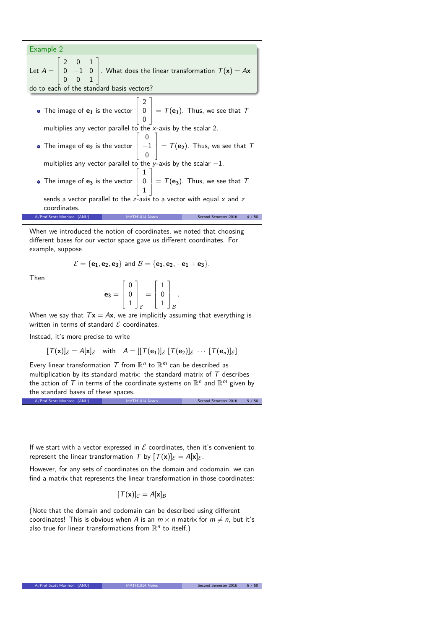| Example 2                                                                                                                                                                                     |
|-----------------------------------------------------------------------------------------------------------------------------------------------------------------------------------------------|
| Let $A = \begin{bmatrix} 2 & 0 & 1 \\ 0 & -1 & 0 \\ 0 & 0 & 1 \end{bmatrix}$ . What does the linear transformation $T(\mathbf{x}) = A\mathbf{x}$<br>do to each of the standard basis vectors? |
|                                                                                                                                                                                               |
| • The image of $\mathbf{e}_1$ is the vector $\begin{vmatrix} 2 \\ 0 \\ 0 \end{vmatrix} = T(\mathbf{e}_1)$ . Thus, we see that $T$                                                             |
| multiplies any vector parallel to the $x$ -axis by the scalar 2.                                                                                                                              |
|                                                                                                                                                                                               |
| • The image of <b>e</b> <sub>2</sub> is the vector $\begin{vmatrix} 0 \\ -1 \\ 0 \end{vmatrix} = T(e_2)$ . Thus, we see that T                                                                |
| multiplies any vector parallel to the y-axis by the scalar $-1$ .                                                                                                                             |
| • The image of <b>e</b> <sub>3</sub> is the vector $\begin{vmatrix} 1 \\ 0 \\ 1 \end{vmatrix} = T(e_3)$ . Thus, we see that T                                                                 |
| sends a vector parallel to the z-axis to a vector with equal $x$ and z                                                                                                                        |
| coordinates.                                                                                                                                                                                  |
| A/Prof Scott Morrison (ANU)<br>Second Semester 2016<br>MATH1014 Notes<br>4 / 50                                                                                                               |

When we introduced the notion of coordinates, we noted that choosing different bases for our vector space gave us different coordinates. For example, suppose

$$
\mathcal{E} = \{e_1, e_2, e_3\} \text{ and } \mathcal{B} = \{e_1, e_2, -e_1 + e_3\}.
$$

Then

$$
\mathbf{e_3} = \left[ \begin{array}{c} 0 \\ 0 \\ 1 \end{array} \right]_{\mathcal{E}} = \left[ \begin{array}{c} 1 \\ 0 \\ 1 \end{array} \right]_{\mathcal{B}}.
$$

When we say that  $T\mathbf{x} = A\mathbf{x}$ , we are implicitly assuming that everything is written in terms of standard  $\mathcal E$  coordinates.

Instead, it's more precise to write

$$
[\mathcal{T}(\mathbf{x})]_{\mathcal{E}} = A[\mathbf{x}]_{\mathcal{E}} \quad \text{with} \quad A = [[\mathcal{T}(\mathbf{e}_1)]_{\mathcal{E}} [\mathcal{T}(\mathbf{e}_2)]_{\mathcal{E}} \cdots [\mathcal{T}(\mathbf{e}_n)]_{\mathcal{E}}]
$$

Every linear transformation  $T$  from  $\mathbb{R}^n$  to  $\mathbb{R}^m$  can be described as multiplication by its standard matrix: the standard matrix of  $T$  describes the action of  $\mathcal T$  in terms of the coordinate systems on  $\mathbb R^n$  and  $\mathbb R^m$  given by the standard bases of these spaces. A/Prof Scott Morrison (ANU) MATH1014 Notes Second Semester 2016 5/50

If we start with a vector expressed in  $\mathcal E$  coordinates, then it's convenient to represent the linear transformation T by  $[T(\mathbf{x})]_{\mathcal{E}} = A[\mathbf{x}]_{\mathcal{E}}$ .

However, for any sets of coordinates on the domain and codomain, we can find a matrix that represents the linear transformation in those coordinates:

$$
[\mathcal{T}(\mathbf{x})]_{\mathcal{C}}=A[\mathbf{x}]_{\mathcal{B}}
$$

(Note that the domain and codomain can be described using different coordinates! This is obvious when A is an  $m \times n$  matrix for  $m \neq n$ , but it's also true for linear transformations from  $\mathbb{R}^n$  to itself.)

A/Prof Scott Morrison (ANU) MATH1014 Notes Second Semester 2016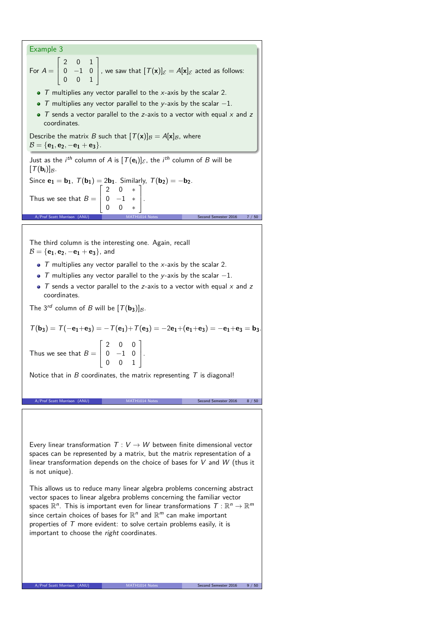## Example 3 For  $A =$  $\Gamma$  $\overline{1}$ 2 0 1  $0 -1 0$ 0 0 1 T. , we saw that  $[T(\mathbf{x})]_{\mathcal{E}} = A[\mathbf{x}]_{\mathcal{E}}$  acted as follows:  $\bullet$  T multiplies any vector parallel to the x-axis by the scalar 2. • T multiplies any vector parallel to the y-axis by the scalar  $-1$ .  $\bullet$  T sends a vector parallel to the z-axis to a vector with equal x and z coordinates. Describe the matrix B such that  $[T(x)]_B = A[x]_B$ , where  $B = \{e_1, e_2, -e_1 + e_3\}.$ Just as the *i<sup>th</sup>* column of A is  $[T(e_i)]_{\mathcal{E}}$ , the *i<sup>th</sup>* column of B will be  $[T(\mathbf{b_i})]_{\mathcal{B}}$ . Since  $e_1 = b_1$ ,  $T(b_1) = 2b_1$ . Similarly,  $T(b_2) = -b_2$ . Thus we see that  $B =$  $\Gamma$  $\begin{array}{|c|c|c|c|c|} \hline 0 & -1 & * \ \hline 0 & 0 & * \ \hline \end{array}$ 2 0 ∗  $\overline{\phantom{0}}$ T  $\mathbf{I}$  $\vert \cdot$ A/Prof Scott Morrison (ANU) MATH1014 Notes Second Semester 2016 7 / 50 The third column is the interesting one. Again, recall  $B = \{e_1, e_2, -e_1 + e_3\}$ , and  $\bullet$  T multiplies any vector parallel to the x-axis by the scalar 2.  $\bullet$  T multiplies any vector parallel to the y-axis by the scalar  $-1$ .  $\bullet$  T sends a vector parallel to the z-axis to a vector with equal x and z coordinates. The 3<sup>rd</sup> column of B will be  $[T(\mathbf{b}_3)]_B$ .  $T(b_3) = T(-e_1+e_3) = -T(e_1) + T(e_3) = -2e_1+(e_1+e_3) = -e_1+e_3 = b_3$ Thus we see that  $B =$  $\Gamma$  $\overline{\phantom{a}}$ 2 0 0  $0 -1 0$ 0 0 1 T  $\vert \cdot$ Notice that in  $B$  coordinates, the matrix representing  $T$  is diagonal! A/Prof Scott Morrison (ANU) Every linear transformation  $T: V \rightarrow W$  between finite dimensional vector spaces can be represented by a matrix, but the matrix representation of a linear transformation depends on the choice of bases for V and W (thus it is not unique). This allows us to reduce many linear algebra problems concerning abstract vector spaces to linear algebra problems concerning the familiar vector spaces  $\mathbb{R}^n$ . This is important even for linear transformations  $\,\mathcal{T}:\mathbb{R}^n\to\mathbb{R}^m$ since certain choices of bases for  $\mathbb{R}^n$  and  $\mathbb{R}^m$  can make important properties of  $T$  more evident: to solve certain problems easily, it is important to choose the right coordinates.

A/Prof Scott Morrison (ANU) MATH1014 Notes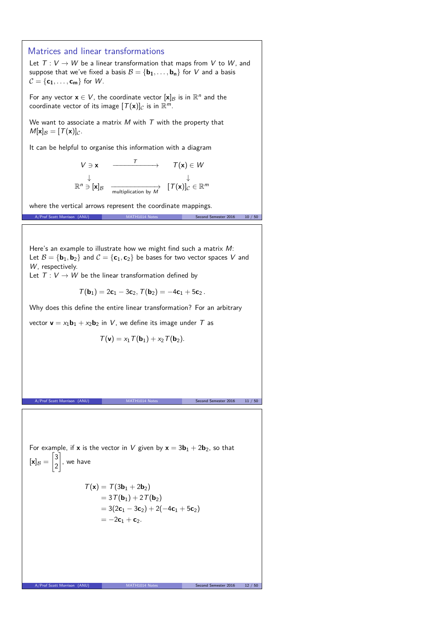# Matrices and linear transformations Let  $T: V \rightarrow W$  be a linear transformation that maps from V to W, and suppose that we've fixed a basis  $B = {\bf{b_1}, \ldots, b_n}$  for V and a basis  $C = \{c_1, \ldots, c_m\}$  for W. For any vector  $\mathbf{x} \in V$ , the coordinate vector  $[\mathbf{x}]_B$  is in  $\mathbb{R}^n$  and the coordinate vector of its image  $[T(\mathbf{x})]_C$  is in  $\mathbb{R}^m$ . We want to associate a matrix  $M$  with  $T$  with the property that  $M[x]_{\mathcal{B}} = [T(x)]_{\mathcal{C}}$ . It can be helpful to organise this information with a diagram  $V \ni \mathbf{x}$   $\longrightarrow$   $\top$   $\longrightarrow$   $\top$   $(\mathbf{x}) \in W$ ↓ ↓  $\mathbb{R}^n \ni [\mathbf{x}]_\mathcal{B}$   $\longrightarrow \text{multiplication by } \mathcal{M}$   $[\mathcal{T}(\mathbf{x})]_\mathcal{C} \in \mathbb{R}^m$ where the vertical arrows represent the coordinate mappings. A/Prof Scott Morrison (ANU) MATH1014 Notes Second Semester 2016 10 / 50 Here's an example to illustrate how we might find such a matrix M: Let  $B = {\bf{b}}_1, {\bf{b}}_2$  and  $C = {\bf{c}}_1, {\bf{c}}_2$  be bases for two vector spaces V and W, respectively. Let  $T: V \rightarrow W$  be the linear transformation defined by  $T(\mathbf{b}_1) = 2\mathbf{c}_1 - 3\mathbf{c}_2$ ,  $T(\mathbf{b}_2) = -4\mathbf{c}_1 + 5\mathbf{c}_2$ . Why does this define the entire linear transformation? For an arbitrary vector  $\mathbf{v} = x_1 \mathbf{b}_1 + x_2 \mathbf{b}_2$  in V, we define its image under T as  $T(\mathbf{v}) = x_1 T(\mathbf{b}_1) + x_2 T(\mathbf{b}_2)$ . A/Prof Scott Morrison (ANU) MATH1014 Notes Second Semester 2016 11 / 50 For example, if **x** is the vector in V given by  $x = 3b_1 + 2b_2$ , so that  $[\mathsf{x}]_\mathcal{B} =$  $\left[3\right]$ 2 1 , we have  $T(x) = T(3b_1 + 2b_2)$  $= 3T(b_1) + 2T(b_2)$  $= 3(2c_1 - 3c_2) + 2(-4c_1 + 5c_2)$  $=-2c_1 + c_2$ . A/Prof Scott Morrison (ANU) MATH1014 Notes Second Semester 2016 12 / 50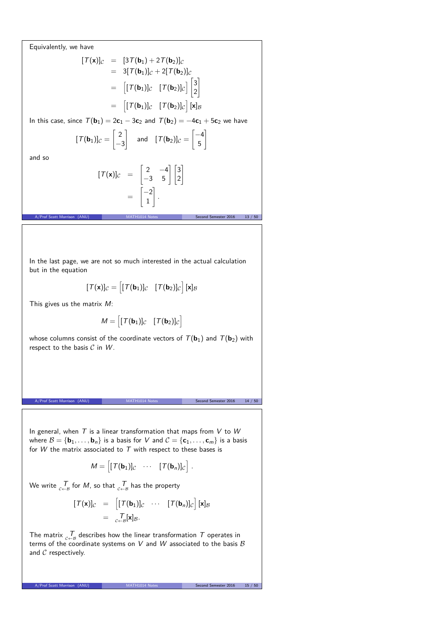Equivalently, we have

$$
[\mathcal{T}(\mathbf{x})]_C = [3\mathcal{T}(\mathbf{b}_1) + 2\mathcal{T}(\mathbf{b}_2)]_C
$$
  
\n
$$
= 3[\mathcal{T}(\mathbf{b}_1)]_C + 2[\mathcal{T}(\mathbf{b}_2)]_C
$$
  
\n
$$
= [[\mathcal{T}(\mathbf{b}_1)]_C \quad [\mathcal{T}(\mathbf{b}_2)]_C \bigg] \begin{bmatrix} 3 \\ 2 \end{bmatrix}
$$
  
\n
$$
= [[\mathcal{T}(\mathbf{b}_1)]_C \quad [\mathcal{T}(\mathbf{b}_2)]_C \bigg] [\mathbf{x}]_B
$$

In this case, since  $T(\mathbf{b}_1) = 2\mathbf{c}_1 - 3\mathbf{c}_2$  and  $T(\mathbf{b}_2) = -4\mathbf{c}_1 + 5\mathbf{c}_2$  we have

$$
[\mathcal{T}(\mathbf{b}_1)]_C = \begin{bmatrix} 2 \\ -3 \end{bmatrix} \quad \text{and} \quad [\mathcal{T}(\mathbf{b}_2)]_C = \begin{bmatrix} -4 \\ 5 \end{bmatrix}
$$

and so

$$
[\mathcal{T}(\mathbf{x})]_C = \begin{bmatrix} 2 & -4 \\ -3 & 5 \end{bmatrix} \begin{bmatrix} 3 \\ 2 \end{bmatrix}
$$

$$
= \begin{bmatrix} -2 \\ 1 \end{bmatrix}.
$$

A/Prof Scott Morrison (ANU) MATH1014 Notes Second Semester 2016 13 / 50

In the last page, we are not so much interested in the actual calculation but in the equation

$$
[\mathcal{T}(\mathbf{x})]_{\mathcal{C}} = \begin{bmatrix} [\mathcal{T}(\mathbf{b}_1)]_{\mathcal{C}} & [\mathcal{T}(\mathbf{b}_2)]_{\mathcal{C}} \end{bmatrix} [\mathbf{x}]_{\mathcal{B}}
$$

This gives us the matrix M:

$$
M = [ [T(\mathbf{b}_1)]_C \quad [T(\mathbf{b}_2)]_C ]
$$

whose columns consist of the coordinate vectors of  $T(\mathbf{b}_1)$  and  $T(\mathbf{b}_2)$  with respect to the basis  $C$  in  $W$ .

A/Prof Scott Morrison (ANU) MATH1014 Notes Second Semester 2016 14 / 50

In general, when  $T$  is a linear transformation that maps from  $V$  to  $W$ where  $B = {\mathbf{b}_1, \ldots, \mathbf{b}_n}$  is a basis for V and  $C = {\mathbf{c}_1, \ldots, \mathbf{c}_m}$  is a basis for  $W$  the matrix associated to  $T$  with respect to these bases is

$$
M = \begin{bmatrix} [T(\mathbf{b}_1)]_c & \cdots & [T(\mathbf{b}_n)]_c \end{bmatrix}.
$$

We write  $\frac{7}{c+8}$  for  $M$ , so that  $\frac{7}{c+8}$  has the property

$$
[\mathcal{T}(\mathbf{x})]_{\mathcal{C}} = [[\mathcal{T}(\mathbf{b}_1)]_{\mathcal{C}} \cdots [ \mathcal{T}(\mathbf{b}_n)]_{\mathcal{C}}] [\mathbf{x}]_{\mathcal{B}}
$$

$$
= \underset{\mathcal{C} \leftarrow \mathcal{B}}{_{\mathcal{T}}} [\mathbf{x}]_{\mathcal{B}}.
$$

The matrix  $\tau_{\epsilon-\beta}$  describes how the linear transformation  $\tau$  operates in terms of the coordinate systems on  $V$  and  $W$  associated to the basis  $\mathcal B$ and  $C$  respectively.

A/Prof Scott Morrison (ANU) MATH1014 Notes Second Semester 2016 15 / 50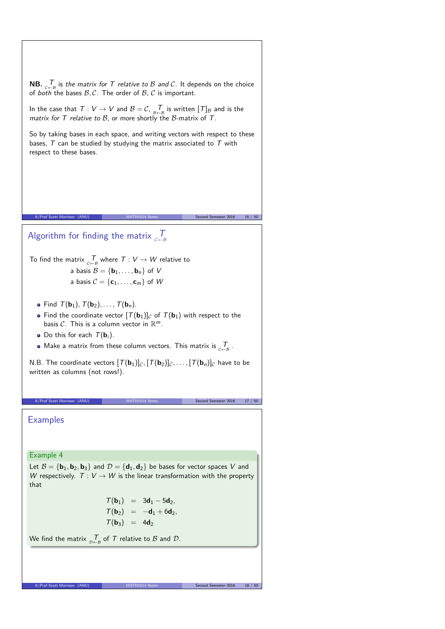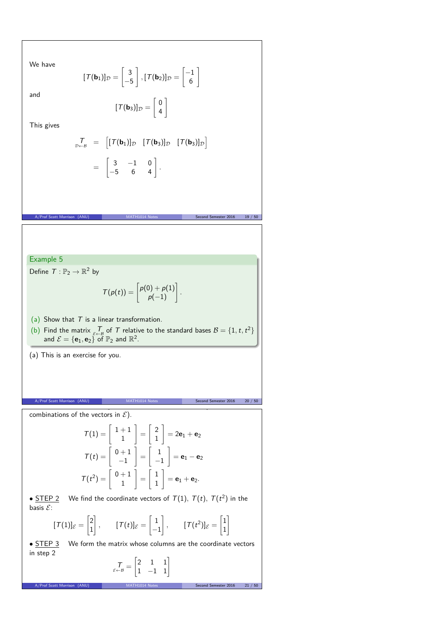We have

and

$$
[\mathcal{T}(\mathbf{b}_1)]_{\mathcal{D}} = \begin{bmatrix} 3 \\ -5 \end{bmatrix}, [\mathcal{T}(\mathbf{b}_2)]_{\mathcal{D}} = \begin{bmatrix} -1 \\ 6 \end{bmatrix}
$$

$$
[\mathcal{T}(\mathbf{b}_3)]_{\mathcal{D}} = \begin{bmatrix} 0 \\ 4 \end{bmatrix}
$$

4

6 1

1

This gives

$$
\begin{array}{rcl}\nT_{\mathcal{D}\leftarrow\mathcal{B}} & = & \left[ [T(\mathbf{b}_1)]_{\mathcal{D}} & [T(\mathbf{b}_3)]_{\mathcal{D}} & [T(\mathbf{b}_3)]_{\mathcal{D}} \right] \\
& = & \left[ \begin{array}{ccc} 3 & -1 & 0 \\ -5 & 6 & 4 \end{array} \right].\n\end{array}
$$

A/Prof Scott Morrison (ANU) MATH1014 Notes Second Semester 2016 19 / 50

Example 5

Define  $T: \mathbb{P}_2 \to \mathbb{R}^2$  by

$$
\mathcal{T}(\rho(t)) = \begin{bmatrix} \rho(0) + \rho(1) \\ \rho(-1) \end{bmatrix}.
$$

(a) Show that  $T$  is a linear transformation.

- (b) Find the matrix  $\overline{f}$  of  $\overline{T}$  relative to the standard bases  $B = \{1, t, t^2\}$ and  $\mathcal{E} = {\mathbf{e}_1, \mathbf{e}_2} \in \mathbb{F}^2$  of  $\mathbb{P}_2$  and  $\mathbb{R}^2$ .
- (a) This is an exercise for you.

combinations of the vectors in  $\mathcal{E}$ ).

A/Prof Scott Morrison (ANU) MATH1014 Notes Second Semester 2016 20 / 50  $MATH1014$  Notes  $\mathbf{S}$  is step in  $\mathbf{S}$  the vectors in B under T (as linear T (as linear T (as linear T (as linear T (as linear T ) is defined by

$$
T(1) = \begin{bmatrix} 1+1 \\ 1 \end{bmatrix} = \begin{bmatrix} 2 \\ 1 \end{bmatrix} = 2\mathbf{e}_1 + \mathbf{e}_2
$$

$$
T(t) = \begin{bmatrix} 0+1 \\ -1 \end{bmatrix} = \begin{bmatrix} 1 \\ -1 \end{bmatrix} = \mathbf{e}_1 - \mathbf{e}_2
$$

$$
T(t^2) = \begin{bmatrix} 0+1 \\ 1 \end{bmatrix} = \begin{bmatrix} 1 \\ 1 \end{bmatrix} = \mathbf{e}_1 + \mathbf{e}_2.
$$

• <u>STEP 2</u> We find the coordinate vectors of  $T(1)$ ,  $T(t)$ ,  $T(t^2)$  in the basis  $\mathcal{E}$ :

$$
[\mathcal{T}(1)]_{\mathcal{E}} = \begin{bmatrix} 2 \\ 1 \end{bmatrix}, \qquad [\mathcal{T}(t)]_{\mathcal{E}} = \begin{bmatrix} 1 \\ -1 \end{bmatrix}, \qquad [\mathcal{T}(t^2)]_{\mathcal{E}} = \begin{bmatrix} 1 \\ 1 \end{bmatrix}
$$

• **STEP 3** We form the matrix whose columns are the coordinate vectors in step 2

$$
\mathcal{T}_{\varepsilon \leftarrow \mathcal{B}} = \begin{bmatrix} 2 & 1 & 1 \\ 1 & -1 & 1 \end{bmatrix}
$$

A/Prof Scott Morrison (ANU) MATH1014 Notes Second Semester 2016 21 / 50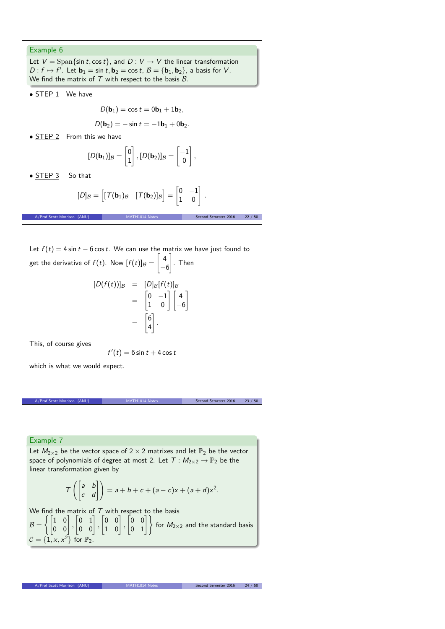#### Example 6

Let  $V = \text{Span}\{\sin t, \cos t\}$ , and  $D: V \to V$  the linear transformation  $D: f \mapsto f'$ . Let  $\mathbf{b}_1 = \sin t, \mathbf{b}_2 = \cos t, \mathcal{B} = {\mathbf{b}_1, \mathbf{b}_2}$ , a basis for V. We find the matrix of  $T$  with respect to the basis  $B$ .

• **STEP 1** We have

$$
D(\mathbf{b}_1)=\cos t=0\mathbf{b}_1+1\mathbf{b}_2,
$$

$$
D(\mathbf{b}_2)=-\sin t=-1\mathbf{b}_1+0\mathbf{b}_2.
$$

• STEP 2 From this we have

$$
[D(\mathbf{b}_1)]_{\mathcal{B}} = \begin{bmatrix} 0 \\ 1 \end{bmatrix}, [D(\mathbf{b}_2)]_{\mathcal{B}} = \begin{bmatrix} -1 \\ 0 \end{bmatrix},
$$

• STEP 3 So that

$$
[D]_{\mathcal{B}} = \begin{bmatrix} [\mathcal{T}(\mathbf{b}_1)_{\mathcal{B}} & [\mathcal{T}(\mathbf{b}_2)]_{\mathcal{B}} \end{bmatrix} = \begin{bmatrix} 0 & -1 \\ 1 & 0 \end{bmatrix}.
$$

A/Prof Scott Morrison (ANU) MATH1014 Notes Second Semester 2016 22 / 50

Let  $f(t) = 4 \sin t - 6 \cos t$ . We can use the matrix we have just found to

get the derivative of 
$$
f(t)
$$
. Now  $[f(t)]_B = \begin{bmatrix} 4 \\ -6 \end{bmatrix}$ . Then

$$
[D(f(t))]_{\mathcal{B}} = [D]_{\mathcal{B}}[f(t)]_{\mathcal{B}}
$$
  
= 
$$
\begin{bmatrix} 0 & -1 \\ 1 & 0 \end{bmatrix} \begin{bmatrix} 4 \\ -6 \end{bmatrix}
$$
  
= 
$$
\begin{bmatrix} 6 \\ 4 \end{bmatrix}.
$$

This, of course gives

$$
f'(t)=6\sin t+4\cos t
$$

which is what we would expect.

A/Prof Scott Morrison (ANU) MATH1014 Notes Second Semester 2016 23 / 50

### Example 7

Let  $M_{2\times 2}$  be the vector space of  $2\times 2$  matrixes and let  $\mathbb{P}_2$  be the vector space of polynomials of degree at most 2. Let  $T : M_{2\times 2} \to \mathbb{P}_2$  be the linear transformation given by

$$
T\left(\begin{bmatrix} a & b \\ c & d \end{bmatrix}\right) = a + b + c + (a - c)x + (a + d)x^{2}.
$$

We find the matrix of  $T$  with respect to the basis  $B =$  $\left\{ \begin{bmatrix} 1 & 0 \\ 0 & 0 \end{bmatrix}, \right.$  $\begin{bmatrix} 0 & 1 \\ 0 & 0 \end{bmatrix}$  $\begin{bmatrix} 0 & 0 \\ 1 & 0 \end{bmatrix}$  $\begin{bmatrix} 0 & 0 \\ 0 & 1 \end{bmatrix}$  for  $M_{2\times 2}$  and the standard basis  $\mathcal{C} = \{1, x, x^2\}$  for  $\mathbb{P}_2$ .

A/Prof Scott Morrison (ANU) MATH1014 Notes Second Semester 2016 24 / 50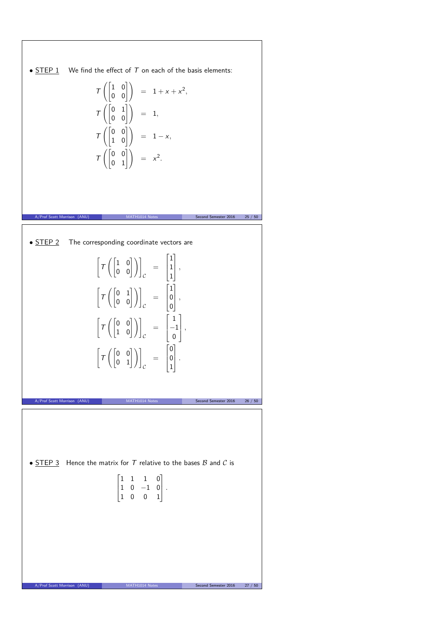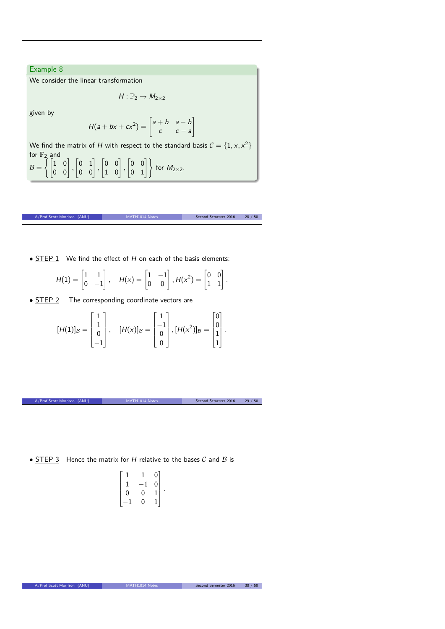Example 8 We consider the linear transformation  $H: \mathbb{P}_2 \to M_{2\times 2}$ 

given by

$$
H(a + bx + cx^{2}) = \begin{bmatrix} a + b & a - b \\ c & c - a \end{bmatrix}
$$

We find the matrix of H with respect to the standard basis  $C = \{1, x, x^2\}$ for  $\mathbb{P}_2$  and

A/Prof Scott Morrison (ANU) MATH1014 Notes Second Semester 2016 28 / 50

 $\mathcal{B} =$  $\left\{ \begin{bmatrix} 1 & 0 \\ 0 & 0 \end{bmatrix}, \right.$  $\begin{bmatrix} 0 & 1 \\ 0 & 0 \end{bmatrix}$  $\begin{bmatrix} 0 & 0 \\ 1 & 0 \end{bmatrix}$  $\begin{bmatrix} 0 & 0 \\ 0 & 1 \end{bmatrix}$  for  $M_{2\times 2}$ .

•  $STEP 1$  We find the effect of H on each of the basis elements:

$$
H(1) = \begin{bmatrix} 1 & 1 \\ 0 & -1 \end{bmatrix}, \quad H(x) = \begin{bmatrix} 1 & -1 \\ 0 & 0 \end{bmatrix}, H(x^2) = \begin{bmatrix} 0 & 0 \\ 1 & 1 \end{bmatrix}.
$$

• **STEP 2** The corresponding coordinate vectors are

$$
[H(1)]_{\mathcal{B}} = \begin{bmatrix} 1 \\ 1 \\ 0 \\ -1 \end{bmatrix}, \quad [H(x)]_{\mathcal{B}} = \begin{bmatrix} 1 \\ -1 \\ 0 \\ 0 \end{bmatrix}, [H(x^2)]_{\mathcal{B}} = \begin{bmatrix} 0 \\ 0 \\ 1 \\ 1 \end{bmatrix}.
$$

A/Prof Scott Morrison (ANU) MATH1014 Notes Second Semester 2016 29 / 50

•  $STEP 3$  Hence the matrix for H relative to the bases  $C$  and  $B$  is</u>

$$
\begin{bmatrix} 1 & 1 & 0 \\ 1 & -1 & 0 \\ 0 & 0 & 1 \\ -1 & 0 & 1 \end{bmatrix}
$$

*.*

A/Prof Scott Morrison (ANU) MATH1014 Notes Second Semester 2016 30 / 50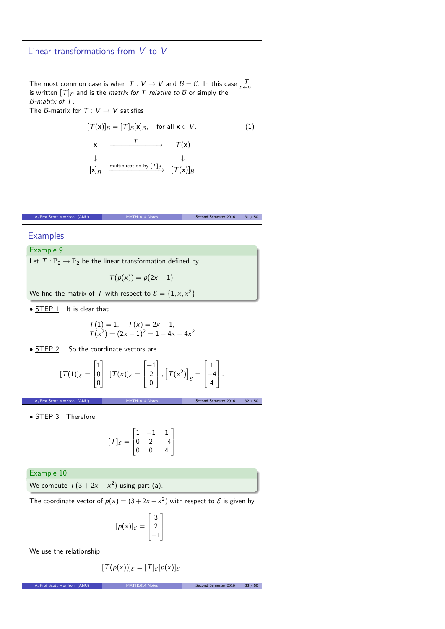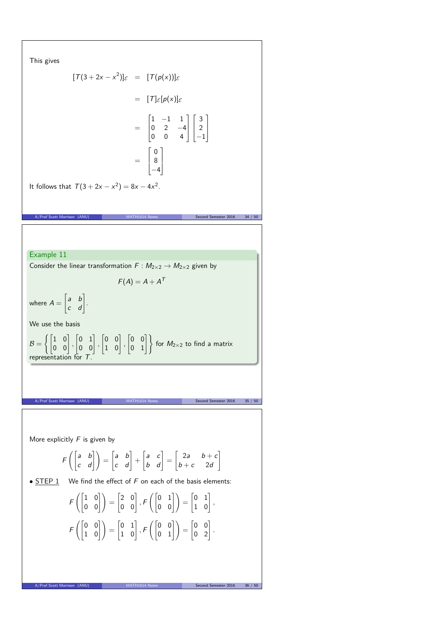This gives  
\n
$$
[T(3+2x-x^2)]_c = [T(\rho(x))]_c
$$
\n
$$
= [T]_c[\rho(x)]_c
$$
\n
$$
= \begin{bmatrix} 1 & -1 & 1 \\ 0 & 2 & -4 \\ 0 & 0 & 4 \end{bmatrix} \begin{bmatrix} 3 \\ 2 \\ -1 \end{bmatrix}
$$
\n
$$
= \begin{bmatrix} 1 & -1 & 1 \\ 0 & 2 & -4 \\ -4 & -4 \end{bmatrix}
$$
\nIt follows that  $T(3+2x-x^2) = 8x-4x^2$ .  
\nA, Find Sant Mertane (A40.)  
\n**EXAMPLE 11**  
\nConsider the linear transformation  $F : M_{2\times 2} \rightarrow M_{2\times 2}$  given by  
\n
$$
F(A) = A + A^T
$$
\nwhere  $A = \begin{bmatrix} a & b \\ c & d \end{bmatrix}$ .  
\nWe use the basis  
\n
$$
B = \left\{ \begin{bmatrix} 1 & 0 \\ 0 & 0 \end{bmatrix}, \begin{bmatrix} 0 & 1 \\ 0 & 0 \end{bmatrix}, \begin{bmatrix} 0 & 0 \\ 1 & 0 \end{bmatrix}, \begin{bmatrix} 0 & 0 \\ 0 & 1 \end{bmatrix} \right\}
$$
 for  $M_{2\times 2}$  to find a matrix representation for  $T$ .  
\nA, find start Mertries (A40.)  
\n**More explicitly**  $F$  is given by  
\n
$$
F\left( \begin{bmatrix} a & b \\ c & d \end{bmatrix} \right) = \begin{bmatrix} a & b \\ c & d \end{bmatrix} + \begin{bmatrix} a & c \\ b & d \end{bmatrix} = \begin{bmatrix} 2a & b+c \\ b+c & 2d \end{bmatrix}
$$
\n**Solution**  
\n**Solution**  
\n**More explicitly**  $F$  is given by  
\n
$$
F\left( \begin{bmatrix} 1 & 0 \\ 0 & 0 \end{bmatrix} \right) = \begin{bmatrix} 2 & 0 \\ 0 & 0 \end{bmatrix}, F\left( \begin{bmatrix} 0 & 1 \\ 0 & 0 \end{bmatrix} \right) = \begin{bmatrix} 0 & 1 \\ 1 & 0 \end{bmatrix},
$$
\n
$$
F\left( \begin{bmatrix
$$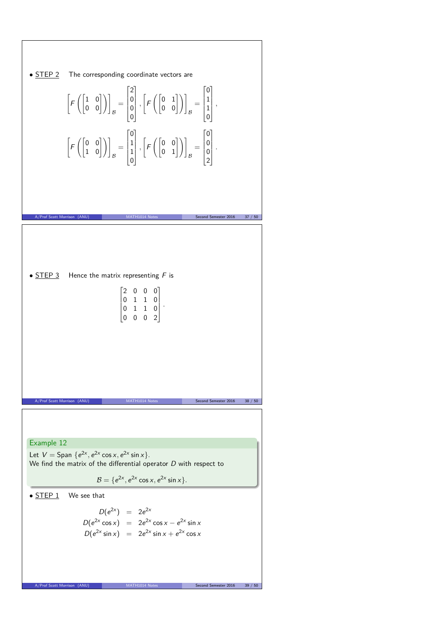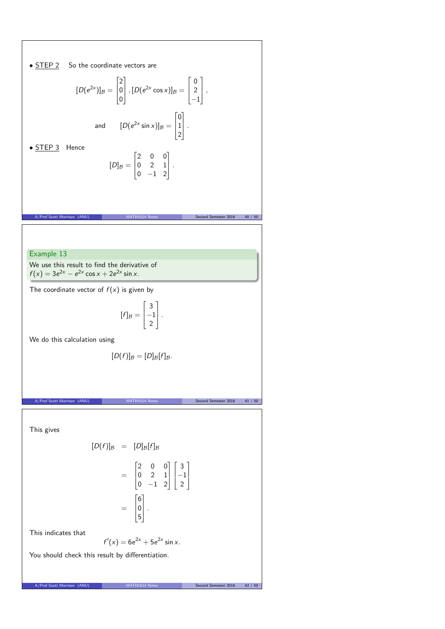• STEP 2 So the coordinate vectors are  
\n
$$
[D(e^{2x})]_B = \begin{bmatrix} 2 \\ 0 \\ 0 \end{bmatrix}, [D(e^{2x} \cos x)]_B = \begin{bmatrix} 0 \\ 2 \\ -1 \end{bmatrix},
$$
\nand 
$$
[D(e^{2x} \sin x)]_B = \begin{bmatrix} 0 \\ 1 \\ 2 \end{bmatrix}.
$$
\n• STEP 3 Hence  
\n
$$
[D]_B = \begin{bmatrix} 2 & 0 & 0 \\ 0 & 2 & 1 \\ 0 & -1 & 2 \end{bmatrix}.
$$
\n• EXAMPLE 3 Hence  
\n
$$
[D]_B = \begin{bmatrix} 2 & 0 & 0 \\ 0 & 2 & 1 \\ 0 & -1 & 2 \end{bmatrix}.
$$
\n
$$
A.PW \text{ Sott Marnson (AWI)}
$$
\n
$$
MTHI Q11R Res = \begin{bmatrix} 2 & 0 & 0 \\ 0 & 2 & 1 \\ 0 & -1 & 2 \end{bmatrix}.
$$
\nWe use this result to find the derivative of  
\n
$$
[f]_B = \begin{bmatrix} 3 \\ -1 \\ 2 \end{bmatrix}.
$$
\nWe do this calculation using  
\n
$$
[D(f)]_B = [D]_B[f]_B.
$$
\n
$$
A.PW \text{ Scut Marnson (AWI)}
$$
\n
$$
MTHI Q11R Res = \begin{bmatrix} 2 & 0 & 0 \\ 0 & 2 & 1 \\ 0 & -1 & 2 \end{bmatrix} \begin{bmatrix} 3 \\ -1 \\ 2 \end{bmatrix}.
$$
\nThis gives  
\n
$$
[D(f)]_B = [D]_B[f]_B
$$
\n
$$
= \begin{bmatrix} 6 \\ 0 \\ 0 \end{bmatrix}.
$$
\nThis indicates that  
\n
$$
f'(x) = 6e^{2x} + 5e^{2x} \sin x.
$$
\nYou should check this result by differentiation.  
\n
$$
A.PW \text{ Sott Marnon (AWI)}
$$
\n
$$
A.PW \text{ Sott Marnon (AWI)}
$$
\n
$$
A.PW \text{ Sott Marnon (AWI)}
$$
\n
$$
A.PW \text{ Sott Marnon (AWI)}
$$
\n
$$
A.PW \text{ Sott Mernon (AW
$$

Τ

┑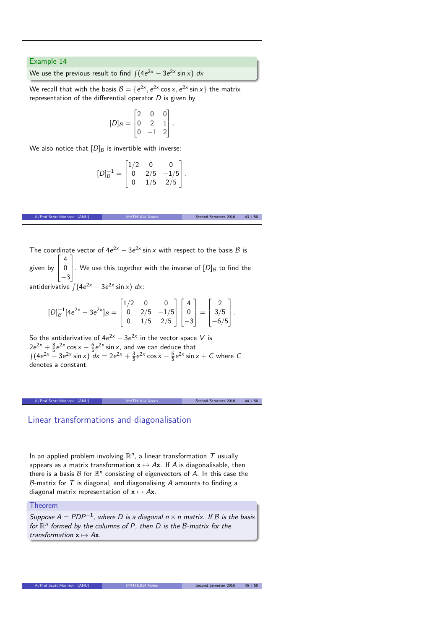#### Example 14

We use the previous result to find  $\int (4e^{2x} - 3e^{2x} \sin x) dx$ 

We recall that with the basis  $B = \{e^{2x}, e^{2x} \cos x, e^{2x} \sin x\}$  the matrix representation of the differential operator  $D$  is given by

$$
[D]_B = \begin{bmatrix} 2 & 0 & 0 \\ 0 & 2 & 1 \\ 0 & -1 & 2 \end{bmatrix}.
$$

We also notice that  $[D]_B$  is invertible with inverse:

$$
[D]_B^{-1} = \begin{bmatrix} 1/2 & 0 & 0 \\ 0 & 2/5 & -1/5 \\ 0 & 1/5 & 2/5 \end{bmatrix}.
$$

A/Prof Scott Morrison (ANU) MATH1014 Notes Second Semester 2016 43 / 50

The coordinate vector of  $4e^{2x} - 3e^{2x} \sin x$  with respect to the basis B is given by  $\Gamma$  $\mathbf{I}$  $\mathbf{I}$ 4 0 −3 1 . We use this together with the inverse of  $[D]_B$  to find the antiderivative  $\int (4e^{2x} - 3e^{2x} \sin x) dx$ :

$$
[D]_B^{-1}[4e^{2x} - 3e^{2x}]_B = \begin{bmatrix} 1/2 & 0 & 0 \\ 0 & 2/5 & -1/5 \\ 0 & 1/5 & 2/5 \end{bmatrix} \begin{bmatrix} 4 \\ 0 \\ -3 \end{bmatrix} = \begin{bmatrix} 2 \\ 3/5 \\ -6/5 \end{bmatrix}.
$$

So the antiderivative of  $4e^{2x} - 3e^{2x}$  in the vector space V is  $2e^{2x} + \frac{3}{5}e^{2x} \cos x - \frac{6}{5}e^{2x} \sin x$ , and we can deduce that  $\int (4e^{2x} - 3e^{2x} \sin x) dx = 2e^{2x} + \frac{3}{5}e^{2x} \cos x - \frac{6}{5}e^{2x} \sin x + C$  where C denotes a constant.

A/Prof Scott Morrison (ANU) MATH1014 Notes Second Semester 2016 44 / 50

## Linear transformations and diagonalisation

In an applied problem involving  $\mathbb{R}^n$ , a linear transformation  $T$  usually appears as a matrix transformation  $x \mapsto Ax$ . If A is diagonalisable, then there is a basis  $\mathcal B$  for  $\mathbb R^n$  consisting of eigenvectors of  $A$ . In this case the  $B$ -matrix for  $T$  is diagonal, and diagonalising  $A$  amounts to finding a diagonal matrix representation of  $x \mapsto Ax$ .

#### Theorem

Suppose  $A = PDP^{-1}$ , where D is a diagonal  $n \times n$  matrix. If B is the basis for  $\mathbb{R}^n$  formed by the columns of P, then D is the B-matrix for the transformation  $x \mapsto Ax$ .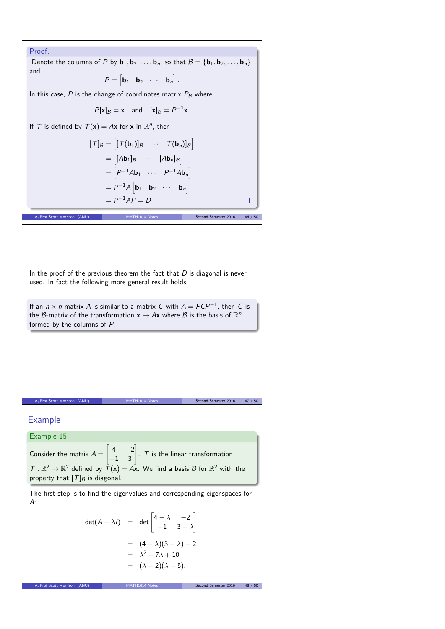## Proof. Denote the columns of P by  $\mathbf{b}_1, \mathbf{b}_2, \ldots, \mathbf{b}_n$ , so that  $\mathcal{B} = {\mathbf{b}_1, \mathbf{b}_2, \ldots, \mathbf{b}_n}$ and  $P = \begin{bmatrix} \mathbf{b}_1 & \mathbf{b}_2 & \cdots & \mathbf{b}_n \end{bmatrix}$ . In this case,  $P$  is the change of coordinates matrix  $P_B$  where  $P[\mathbf{x}]_{\mathcal{B}} = \mathbf{x}$  and  $[\mathbf{x}]_{\mathcal{B}} = P^{-1}\mathbf{x}$ *.* If T is defined by  $T(\mathbf{x}) = A\mathbf{x}$  for  $\mathbf{x}$  in  $\mathbb{R}^n$ , then  $[\mathcal{T}]_{\mathcal{B}} = [[\mathcal{T}(\mathbf{b}_1)]_{\mathcal{B}} \cdots \mathcal{T}(\mathbf{b}_n)]_{\mathcal{B}}]$  $= \begin{bmatrix} [A\mathbf{b}_1]_{\mathcal{B}} & \cdots & [A\mathbf{b}_n]_{\mathcal{B}} \end{bmatrix}$  $= \begin{bmatrix} P^{-1}A\mathbf{b}_1 & \cdots & P^{-1}A\mathbf{b}_n \end{bmatrix}$  $= P^{-1}A \begin{bmatrix} \mathbf{b}_1 & \mathbf{b}_2 & \cdots & \mathbf{b}_n \end{bmatrix}$  $= P^{-1}AP = D$  $\Box$ A/Prof Scott Morrison (ANU) MATH1014 Notes Second Semester 2016 46 / 50 In the proof of the previous theorem the fact that  $D$  is diagonal is never used. In fact the following more general result holds: If an  $n \times n$  matrix A is similar to a matrix C with  $A = PCP^{-1}$ , then C is the B-matrix of the transformation  $\mathbf{x} \to A\mathbf{x}$  where B is the basis of  $\mathbb{R}^n$ formed by the columns of P. A/Prof Scott Morrison (ANU) MATH1014 Notes Second Semester 2016 47 / 50 Example Example 15  $\begin{bmatrix} 4 & -2 \\ -1 & 3 \end{bmatrix}$ Consider the matrix  $A =$  $. 7$  is the linear transformation  $T: \mathbb{R}^2 \to \mathbb{R}^2$  defined by  $\overline{T}(\mathbf{x}) = A\mathbf{x}$ . We find a basis  $B$  for  $\mathbb{R}^2$  with the property that  $[T]_B$  is diagonal. The first step is to find the eigenvalues and corresponding eigenspaces for A: det $(A - \lambda I)$  = det  $\begin{bmatrix} 4 - \lambda & -2 \\ -1 & 3 - \end{bmatrix}$ 1 −1 3 − *λ*  $= (4 - \lambda)(3 - \lambda) - 2$  $= \lambda^2 - 7\lambda + 10$  $= (\lambda - 2)(\lambda - 5)$ .

A/Prof Scott Morrison (ANU) MATH1014 Notes Second Semester 2016 48 / 50